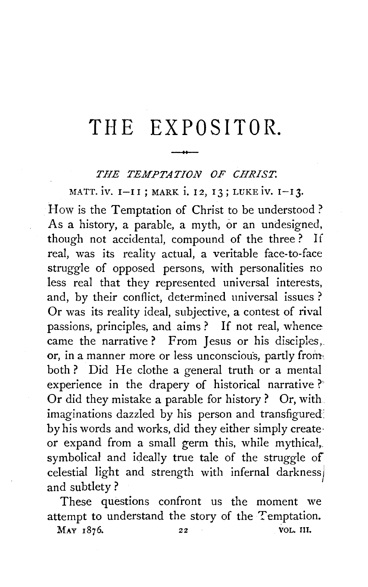# **THE EX PO SI TOR.**  -

## *THE TEMPTATION OF CHRIST.*

MATT. iv. 1-II; MARK i. 12, 13; LUKE iv. 1-13.

How is the Temptation of Christ to be understood? As a history, a parable, a myth, or an undesigned, though not accidental, compound of the three ? If real, was its reality actual, a veritable face-to-face struggle of opposed persons, with personalities no less real that they represented universal interests, and, by their conflict, determined universal issues ? Or was its reality ideal, subjective, a contest of rival passions, principles, and aims? If not real, whence came the narrative? From Jesus or his disciples,. or, in a manner more or less unconscious, partly from. both? Did He clothe a general truth or a mental experience in the drapery of historical narrative? Or did they mistake a parable for history ? Or, with imaginations dazzled by his person and transfigured: by his words and works, did they either simply create· or expand from a small germ this, while mythical,. symbolical and ideally true tale of the struggle of celestial light and strength with infernal darkness) and subtlety ?

These questions confront us the moment we attempt to understand the story of the Temptation.

MAY 1876. 22 VOL. 11I.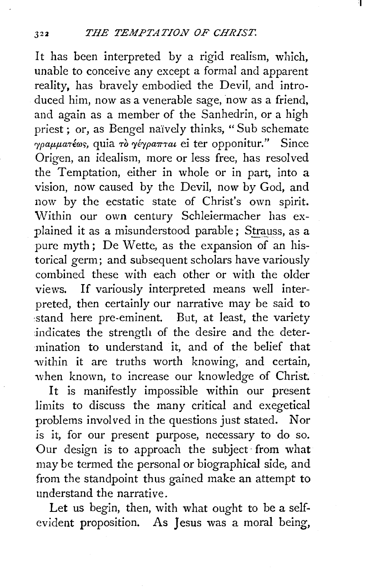I

It has been interpreted by a rigid realism, which, unable to conceive any except a formal and apparent reality, has bravely embodied the Devil, and introduced him, now as a venerable sage, now as a friend, and again as a member of the Sanhedrin, or a high priest : or, as Bengel naively thinks, "Sub schemate *r*<br>*requiation*, quia *to révestrat* ei ter opponitur." Since Origen, an idealism, more or less free, has resolved the Temptation, either in whole or in part, into a vision, now caused by the Devil, now by God, and now by the ecstatic state of Christ's own spirit. Within our own century Schleiermacher has explained it as a misunderstood parable; Strauss, as a pure myth : De Wette, as the expansion of an historical germ; and subsequent scholars have variously combined these with each other or with the older views. If variously interpreted means well interpreted, then certainly our narrative may be said to :stand here pre-eminent. But, at least, the variety indicates the strength of the desire and the determination to understand it, and of the belief that within it are truths worth knowing, and certain, when known, to increase our knowledge of Christ.

It is manifestly impossible within our present limits to discuss the many critical and exegetical problems involved in the questions just stated. Nor is it, for our present purpose, necessary to do so. Our design is to approach the subject from what may be termed the personal or biographical side, and from the standpoint thus gained make an attempt to understand the narrative.

Let us begin, then, with what ought to be a selfevident proposition. As Jesus was a moral being,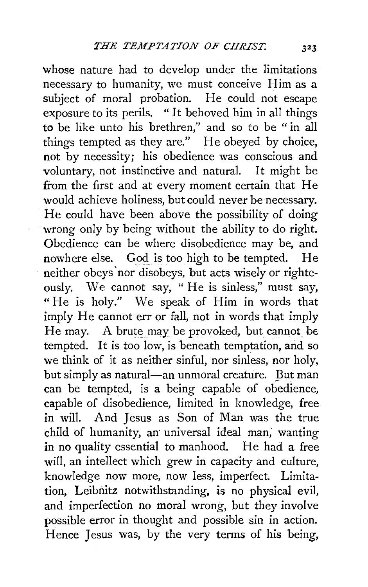whose nature had to develop under the limitations' necessary to humanity, we must conceive Him as a subject of moral probation. He could not escape exposure to its perils. " It behoved him in all things to be like unto his brethren," and so to be " in all things tempted as they are." He obeyed by choice, not by necessity; his obedience was conscious and voluntary, not instinctive and natural. It might be from the first and at every moment certain that He would achieve holiness, but could never be necessary. He could have been above the possibility of doing wrong only by being without the ability to do right. Obedience can be where disobedience may be, and nowhere else. God is too high to be tempted. He neither obeys 'nor disobeys, but acts wisely or righteously. We cannot say, " He is sinless," must say, "He is holy." We speak of Him in words that imply He cannot err or fall, not in words that imply He may. A brute may be provoked, but cannot be. tempted. It is too low, is beneath temptation, and so we think of it as neither sinful, nor sinless, nor holy, but simply as natural-an unmoral creature. But man can be tempted, is a being capable of obedience, capable of disobedience, limited in knowledge, free in will. And Jesus as Son of Man was the true child of humanity, an universal ideal man, wanting in no quality essential to manhood. He had a free will, an intellect which grew in capacity and culture, knowledge now more, now less, imperfect. Limitation, Leibnitz notwithstanding, is no physical evil, and imperfection no moral wrong, but they involve possible error in thought and possible sin in action. Hence Jesus was, by the very terms of his being,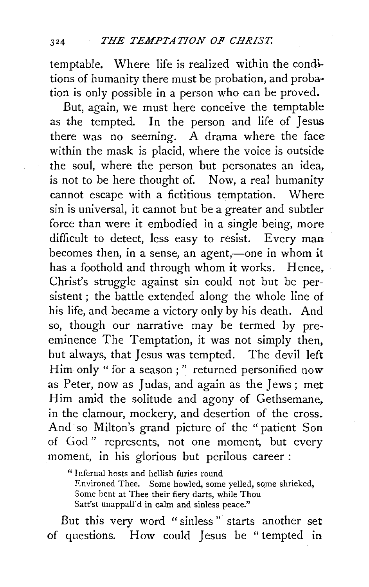temptable. Where life is realized within the conditions of humanity there must be probation, and probation is only possible in a person who can be proved.

But, again, we must here conceive the temptable as the tempted. In the person and life of Jesus there was no seeming. A drama where the face within the mask is placid, where the voice is outside the soul, where the person but personates an idea, is not to be here thought of. Now, a real humanity cannot escape with a fictitious temptation. Where sin is universal, it cannot but be a greater and subtler force than were it embodied in a single being, more difficult to detect, less easy to resist. Every man becomes then, in a sense, an agent,—one in whom it has a foothold and through whom it works. Hence, Christ's struggle against sin could not but be persistent; the battle extended along the whole line of his life, and became a victory only by his death. And so, though our narrative may be termed by preeminence The Temptation, it was not simply then, but always, that Jesus was tempted. The devil left Him only "for a season;" returned personified *now*  as Peter, now as Judas, and again as the Jews ; met Him amid the solitude and agony of Gethsemane, in the clamour, mockery, and desertion of the cross. And so Milton's grand picture of the "patient Son of God " represents, not one moment, but every moment, in his glorious but perilous career :

" Infernal hosts and hellish furies round Environed Thee. Some howled, some yelled, some shrieked, Some bent at Thee their fiery darts, while Thou Satt'st unappall'd in calm and sinless peace."

But this very word "sinless " starts another set of questions. How could Jesus be "tempted in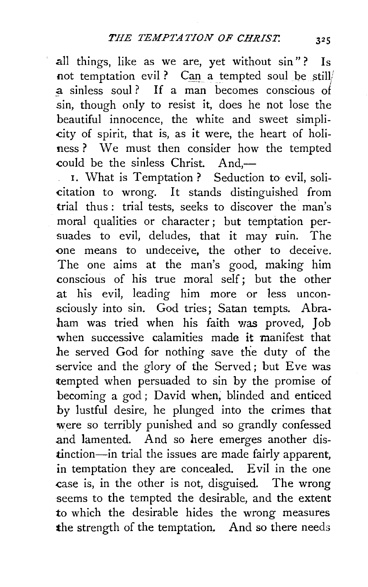all things, like as we are, yet without sin"? Is not temptation evil ? Can a tempted soul be still/ a sinless soul ? If a man becomes conscious *ol*  sin, though only to resist it, does he not lose the beautiful innocence, the white and sweet simpli- -city of spirit, that is, as it were, the heart of holiness ? We must then consider how the tempted could be the sinless Christ. And-

I. What is Temptation? Seduction to evil, solicitation to wrong. It stands distinguished from trial thus: trial tests, seeks to discover the man's moral qualities or character; but temptation persuades to evil, deludes, that it may ruin. The -one means to undeceive, the other to deceive. The one aims at the man's good, making him conscious of his true moral self; but the other at his evil, leading him more or less unconsciously into sin. God tries; Satan tempts. Abraham was tried when his faith was proved, Job when successive calamities made it manifest that he served God for nothing save the duty of the service and the glory of the Served; but Eve was tempted when persuaded to sin by the promise of becoming a god ; David when, blinded and enticed by lustful desire, he plunged into the crimes that were so terribly punished and so grandly confessed and lamented. And so here emerges another distinction-in trial the issues are made fairly apparent, in temptation they are concealed. Evil in the one case is, in the other is not, disguised. The wrong seems to the tempted the desirable, and the extent to which the desirable hides the wrong measures the strength of the temptation. And so there needs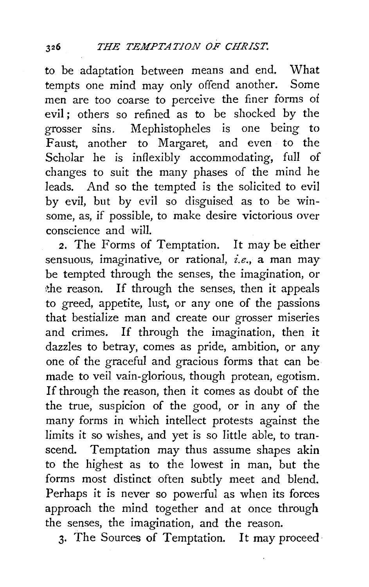*to* be adaptation between means and end. What tempts one mind may only offend another. Some men are *too* coarse to perceive the finer forms of evil ; others so refined as *to* be shocked by the grosser sins. Mephistopheles is one being to Faust, another to Margaret, and even to the Scholar he is inflexibly accommodating, full of changes to suit the many phases of the mind he leads. And so the tempted is the solicited to evil by evil, but by evil so disguised as to be winsome, as, if possible, to make desire victorious over conscience and will.

*2.* The Forms of Temptation. It may be either sensuous, imaginative, or rational, *i.e.,* a man may be tempted through the senses, the imagination, or  $\phi$  the reason. If through the senses, then it appeals to greed, appetite, lust, or any one of the passions that bestialize man and create our grosser miseries and crimes. If through the imagination, then it dazzles to betray, comes as pride, ambition, or any one of the graceful and gracious forms that can be made *to* veil vain-glorious, though protean, egotism. If through the reason, then it comes as doubt of the the true, suspicion of the good, or in any of the many forms in which intellect protests against the limits it so wishes, and yet is so little able, to transcend. Temptation may thus assume shapes akin to the highest as to the lowest in man, but the forms most distinct often subtly meet and blend. Perhaps it is never so powerful as when its forces approach the mind together and at once through the senses, the imagination, and the reason.

3. The Sources of Temptation. It may proceed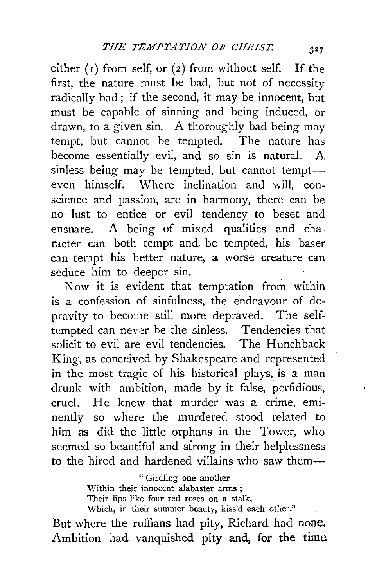either  $(1)$  from self, or  $(2)$  from without self. If the first, the nature, must be bad, but not of necessity radically bad ; if the second, it may be innocent, but must be capable of sinning and being induced, or drawn, to a given sin. A thoroughly bad being may tempt, but cannot be tempted. The nature has become essentially evil, and so sin is natural. A  $s$ inless being may be tempted, but cannot tempteven himself. Where inclination and will, conscience and passion, are in harmony, there can be no lust to entice or evil tendency to beset and ensnare. A being of mixed qualities and character can both tempt and be tempted, his baser can tempt his better nature, a worse creature can seduce him to deeper sin.

Now it is evident that temptation from within is a confession of sinfulness, the endeavour of depravity to become still more depraved. The selftempted can never be the sinless. Tendencies that solicit to evil are evil tendencies. The Hunchback King, as conceived by Shakespeare and represented in the most tragic of his historical plays, is a man drunk with ambition, made by it false, perfidious, cruel. He knew that murder was a crime, eminently so where the murdered stood related to him as did the little orphans in the Tower, who seemed so beautiful and strong in their helplessness to the hired and hardened villains who saw them-

> "Girdling one another Within their innocent alabaster arms ; Their lips like four red roses on a stalk, Which, in their summer beauty, kiss'd each other."

But where the ruffians had pity, Richard had none. Ambition had vanquished pity and, for the time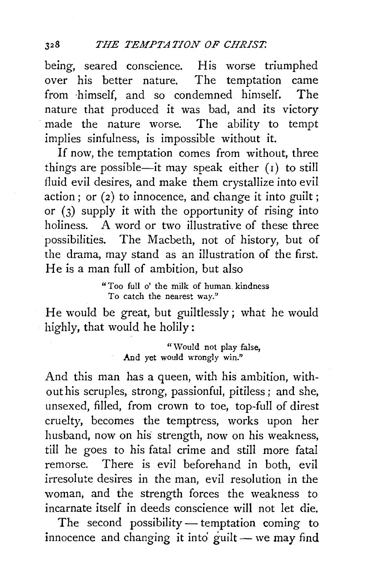being, seared conscience. His worse triumphed<br>over his better nature. The temptation came over his better nature. from ·himself, and so condemned himself. The nature that produced it was bad, and its victory made the nature worse. The ability to tempt implies sinfulness, is impossible without it.

If now, the temptation comes from without, three things are possible—it may speak either  $(1)$  to still fluid evil desires, and make them crystallize into evil action; or  $(2)$  to innocence, and change it into guilt: or (3) supply it with the opportunity of rising into holiness. A word or two illustrative of these three possibilities. The Macbeth, not of history, but of the drama, may stand as an illustration of the first. He is a man full of ambition, but also

> "Too full o' the milk of human. kindness To catch the nearest way."

He would be great, but guiltlessly; what he would highly, that would he holily:

> "Would not play false. And yet would wrongly win."

And this man has a queen, with his ambition, without his scruples, strong, passionful, pitiless ; and she, unsexed, filled, from crown to toe, top-full of direst cruelty, becomes the temptress, works upon her husband, now on his strength, now on his weakness, till he goes to his fatal crime and still more fatal remorse. There is evil beforehand in both, evil irresolute desires in the man, evil resolution in the woman, and the strength forces the weakness to incarnate itself in deeds conscience will not let die.

The second possibility  $-$  temptation coming to innocence and changing it into guilt  $-$  we may find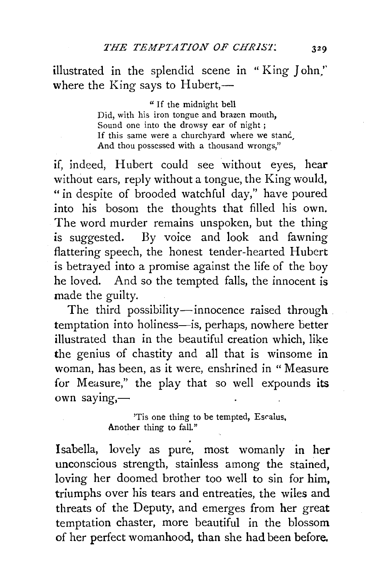illustrated in the splendid scene in " King John.'' where the King says to Hubert, $-$ 

> " If the midnight bell Did, with his iron tongue and brazen mouth, Sound one into the drowsy ear of night ; If this same were a churchyard where we stand And thou possessed with a thousand wrongs,"

if, indeed, Hubert could see without eyes, hear without ears, reply without a tongue, the King would, "in despite of brooded watchful day," have poured into his bosom the thoughts that filled his own. The word murder remains unspoken, but the thing is suggested. By voice and look and fawning flattering speech, the honest tender-hearted Hubert is betrayed into a promise against the life of the boy he loved. And so the tempted falls, the innocent is made the guilty.

The third possibility-innocence raised through temptation into holiness-is, perhaps, nowhere better illustrated than in the beautiful creation which, like the genius of chastity and all that is winsome in woman, has been, as it were, enshrined in " Measure for Measure," the play that so well expounds its own saying,-

> 'Tis one thing to be tempted, Escalus, Another thing to fall."

Isabella, lovely as pure, most womanly in her unconscious strength, stainless among the stained, loving her doomed brother too well to sin for him, triumphs over his tears and entreaties, the wiles and threats of the Deputy, and emerges from her great temptation chaster, more beautiful in the blossom of her perfect womanhood, than she had been before.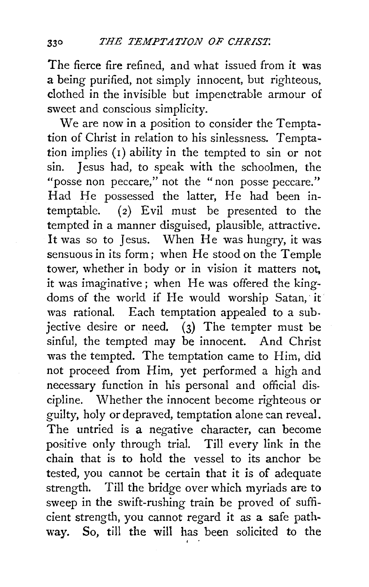The fierce fire refined, and what issued from it was a being purified, not simply innocent, but righteous, clothed in the invisible but impenetrable armour of sweet and conscious simplicity.

We are now in a position to consider the Temptation of Christ in relation to his sinlessness. Temptation implies (I) ability in the tempted to sin or not sin. Jesus had, to speak with the schoolmen, the "posse non peccare," not the "non posse peccare." Had He possessed the latter, He had been intemptable. (2) Evil must be presented to the tempted in a manner disguised, plausible, attractive. It was so to Jesus. When He was hungry, it was sensuous in its form; when He stood on the Temple tower, whether in body or in vision it matters not, it was imaginative; when He was offered the kingdoms of the world if He would worship Satan, it was rational. Each temptation appealed to a subjective desire or need.  $\overrightarrow{(3)}$  The tempter must be sinful, the tempted may be innocent. And Christ was the tempted. The temptation came to Him, did not proceed from Him, yet performed a high and necessary function in his personal and official discipline. Whether the innocent become righteous or guilty, holy or depraved, temptation alone can reveal. The untried is a negative character, can become positive only through trial. Till every link in the chain that is to hold the vessel to its anchor be tested, you cannot be certain that it is of adequate strength. Till the bridge over which myriads are to sweep in the swift-rushing train be proved of sufficient strength, you cannot regard it as a safe pathway. So, till the will has been solicited to the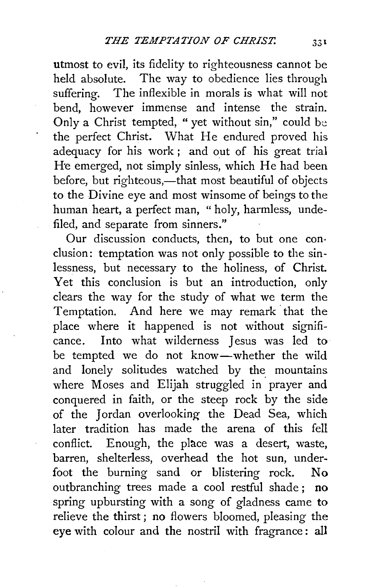utmost *to* evil, its fidelity to righteousness cannot be held absolute. The way to obedience lies through suffering. The inflexible in morals is what will not bend, however immense and intense the strain. Only a Christ tempted, " yet without sin," could be the perfect Christ. What He endured proved his adequacy for his work; and out of his great trial He emerged, not simply sinless, which He had been before, but righteous,—that most beautiful of objects to the Divine eye and most winsome of beings to the human heart, a perfect man, " holy, harmless, undefiled, and separate from sinners."

Our discussion conducts, then, to but one con· elusion: temptation was not only possible to the sinlessness, but necessary *to* the holiness, of Christ. Yet this conclusion is but an introduction, only clears the way for the study of what we term the Temptation. And here we may remark· that the place where it happened is not without significance. Into what wilderness Jesus was led to be tempted we do not know-whether the wild and lonely solitudes watched by the mountains where Moses and Elijah struggled in prayer and conquered in faith, or the steep rock by the side of the Jordan overlooking the Dead Sea, which later tradition has made the arena of this fell conflict. Enough, the place was a desert, waste, barren, shelterless, overhead the hot sun, underfoot the burning sand or blistering rock. No outbranching trees made a cool restful shade ; no spring upbursting with a song of gladness came to relieve the thirst ; no flowers bloomed, pleasing the eye with colour and the nostril with fragrance : all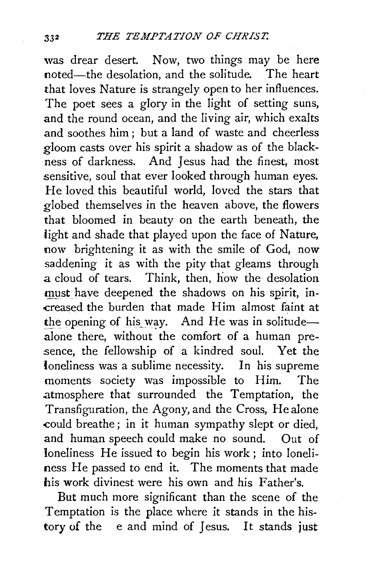was drear desert. Now, two things may be here<br>noted—the desolation and the solitude. The heart noted-the desolation, and the solitude. that loves Nature is strangely open to her influences. The poet sees a glory in the light of setting suns, and the round ocean, and the living air, which exalts and soothes him ; but a land of waste and cheerless gloom casts over his spirit a shadow as of the blackness of darkness. And Jesus had the finest, most sensitive, soul that ever looked through human eyes. He loved this beautiful world, loved the stars that globed themselves in the heaven above, the flowers that bloomed in beauty on the earth beneath, the light and shade that played upon the face of Nature, now brightening it as with the smile of God, now saddening it as with the pity that gleams through a cloud of tears. Think, then, how the desolation must have deepened the shadows on his spirit, in--creased the burden that made Him almost faint at the opening of his way. And He was in solitudealone there, without the comfort of a human presence, the fellowship of a kindred soul. Yet the loneliness was a sublime necessity. In his supreme moments society was impossible to Him. The atmosphere that surrounded the Temptation, the Transfiguration, the Agony, and the Cross, He alone -could breathe; in it human sympathy slept or died, and human speech could make no sound. Out of loneliness He issued to begin his work; into loneliness He passed to end it. The moments that made his work divinest were his own and his Father's.

But much more significant than the scene of the Temptation is the place where it stands in the history of the e and mind of Jesus. It stands just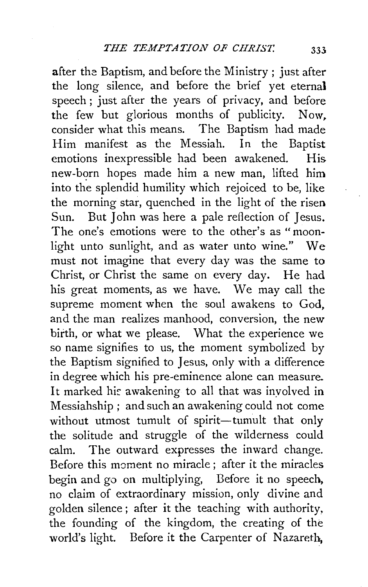after the Baptism, and before the Ministry ; just after the long silence, and before the brief yet eternal speech ; just after the years of privacy, and before the few but glorious months of publicity. Now,<br>consider what this means. The Bantism had made The Baptism had made Him manifest as the Messiah. In the Baptist emotions inexpressible had been awakened. His new-born hopes made him a new man, lifted him into the splendid humility which rejoiced to be, like the morning star, quenched in the light of the risen Sun. But John was here a pale reflection of Jesus. The one's emotions were to the other's as "moonlight unto sunlight, and as water unto wine." We must not imagine that every day was the same to Christ, or Christ the same on every day. He had his great moments, as we have. We may call the supreme moment when the soul awakens to God, and the man realizes manhood, conversion, the new birth, or what we please. What the experience we so name signifies to us, the moment symbolized by the Baptism signified to Jesus, only with a difference in degree which his pre-eminence alone can measure. It marked his awakening to all that was involved in Messiahship ; and such an awakening could not come without utmost tumult of spirit-tumult that only the solitude and struggle of the wilderness could calm. The outward expresses the inward change. Before this moment no miracle ; after it the miracles begin and go on multiplying, Before it no speech, no claim of extraordinary mission, only divine and golden silence; after it the teaching with authority, the founding of the kingdom, the creating of the world's light. Before it the Carpenter of Nazareth,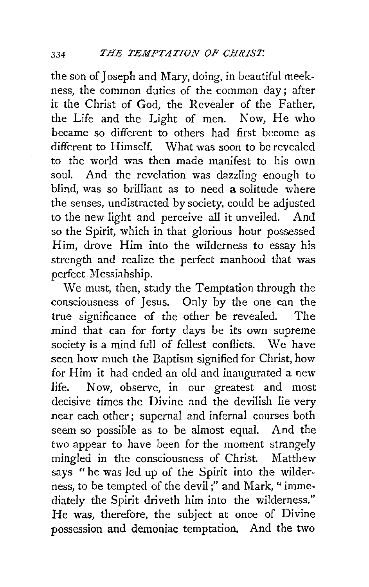the son of Joseph and Mary, doing, in beautiful meekness, the common duties of the common day; after it the Christ of God, the Revealer of the Father, the Life and the Light of men. Now, He who became so different to others had first become as different to Himself. What was soon to be revealed to the world was then made manifest to his own soul. And the revelation was dazzling enough to blind, was so brilliant as to need a solitude where the senses, undistracted by society, could be adjusted to the new light and perceive all it unveiled. And so the Spirit, which in that glorious hour possessed Him, drove Him into the wilderness to essay his strength and realize the perfect manhood that was perfect Messiahship.

We must, then, study the Temptation through the consciousness of Jesus. Only by the one can the true significance of the other be revealed. The mind that can for forty days be its own supreme society is a mind full of fellest conflicts. We have seen how much the Baptism signified for Christ, how for Him it had ended an old and inaugurated a new life. Now, observe, in our greatest and most decisive times the Divine and the devilish lie very near each other; supernal and infernal courses both seem so possible as to be almost equal. And the two appear to have been for the moment strangely mingled in the consciousness of Christ. Matthew says "he was led up of the Spirit into the wilderness, to be tempted of the devil ;" and Mark, " immediately the Spirit driveth him into the wilderness." He was, therefore, the subject at once of Divine possession and demoniac temptation. And the two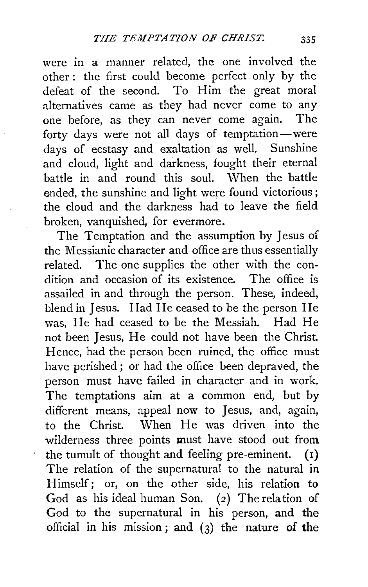were in a manner related, the one involved the other : the first could become perfect. only by the defeat of the second. To Him the great moral alternatives came as they had never come to any one before, as they can never come again. The forty days were not all days of temptation-were days of ecstasy and exaltation as well. Sunshine and cloud, light and darkness, fought their eternal battle in and round this soul. When the battle ended, the sunshine and light were found victorious ; the cloud and the darkness had to leave the field broken, vanquished, for evermore.

The Temptation and the assumption by Jesus of the Messianic character and office are thus essentially related. The one supplies the other with the condition and occasion of its existence. The office is assailed in and through the person. These, indeed, blend in Jesus. Had He ceased to be the person He was, He had ceased to be the Messiah. Had He not been Jesus, He could not have been the Christ. Hence, had the person been ruined, the office must have perished ; or had the office been depraved, the person must have failed in character and in work. The temptations aim at a common end, but by different means, appeal now to Jesus, and, again, to the Christ. When He was driven into the wilderness three points must have stood out from the tumult of thought and feeling pre-eminent.  $(1)$ . The relation of the supernatural to the natural in Himself; or, on the other side, his relation to God as his ideal human Son.  $(2)$  The relation of God to the supernatural in his person, and the official in his mission ; and (3) the nature **of the**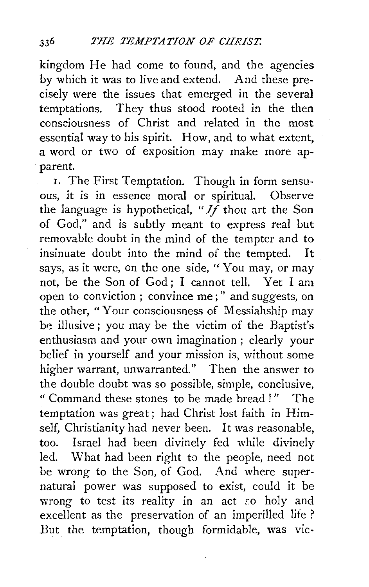kingdom He had come *to* found, and the agencies by which it was to live and extend. And these precisely were the issues that emerged in the several temptations. They thus stood rooted in the then consciousness of Christ and related in the most essential way to his spirit. How, and to what extent, a word or two of exposition may make more apparent.

r. The First Temptation. Though in form sensuous, it is in essence moral or spiritual. Observe the language is hypothetical, " $I_f$  thou art the Son of God," and is subtly meant to express real but removable doubt in the mind of the tempter and to insinuate doubt into the mind of the tempted. It says, as it were, on the one side, "You may, or may not, be the Son of God; I cannot tell. Yet I am open to conviction ; convince me;" and suggests, on the other, "Your consciousness of Messiahship may be illusive; you may be the victim of the Baptist's enthusiasm and your own imagination ; clearly your belief in yourself and your mission is, without some higher warrant, unwarranted." Then the answer to the double doubt was so possible, simple, conclusive, " Command these stones to be made bread ! " The temptation was great; had Christ lost faith in Himself, Christianity had never been. It was reasonable, too. Israel had been divinely fed while divinely led. 'What had been right to the people, need not be wrong to the Son, of God. And where supernatural power was supposed to exist, could it be wrong to test its reality in an act so holy and excellent as the preservation of an imperilled life ? But the temptation, though formidable, was vic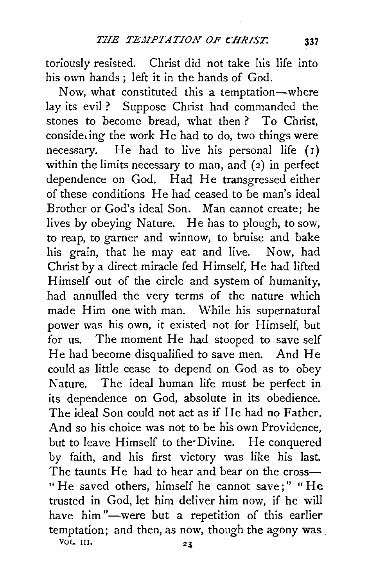toriously resisted. Christ did not take his life into his own hands ; left it in the hands of God.

Now, what constituted this a temptation-where lay its evil? Suppose Christ had commanded the stones to become bread, what then? To Christ,  $\cos i \text{d}e_i$  ing the work He had to do, two things were necessary. He had to live his personal life  $(1)$ within the limits necessary to man, and (2) in perfect dependence on God. Had He transgressed either of these conditions He had ceased to be man's ideal Brother or God's ideal Son. Man cannot create; he lives by obeying Nature. He has to plough, to sow, to reap, to garner and winnow, to bruise and bake his grain, that he may eat and live. Now, had Christ by a direct miracle fed Himself, He had lifted Himself out of the circle and system of humanity, had annulled the very terms of the nature which made Him one with man. While his supernatural power was his own, it existed not for Himself, but for us. The moment He had stooped to save self He had become disqualified to save men. And He could as little cease to depend on God as to obey Nature. The ideal human life must be perfect in its dependence on God, absolute in its obedience. The ideal Son could not act as if He had no Father. And so his choice was not to be his own Providence, but to leave Himself to the Divine. He conquered by faith, and his first victory was like his last. The taunts He had to hear and bear on the cross-" He saved others, himself he cannot save;" "He trusted in God, let him deliver him now, if he will have him"-were but a repetition of this earlier temptation; and then, as now, though the agony was .  $\frac{23}{24}$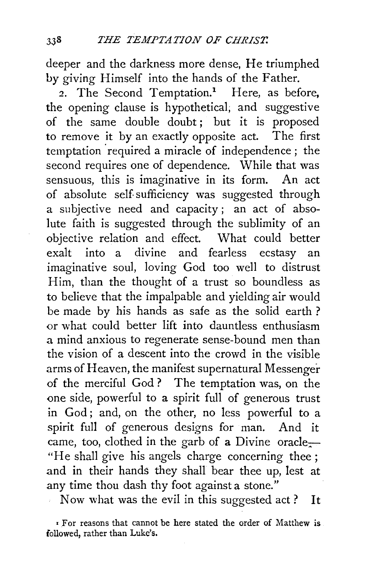deeper and the darkness more dense, He triumphed by giving Himself into the hands of the Father.

<sup>2</sup>. The Second Temptation.<sup>1</sup> Here, as before, the opening clause is hypothetical; and suggestive of the same double doubt; but it is proposed<br>to remove it by an exactly opposite act. The first to remove it by an exactly opposite act. temptation required a miracle of independence; the second requires one of dependence. While that was sensuous, this is imaginative in its form. An act of absolute self sufficiency was suggested through a subjective need and capacity; an act of absolute faith is suggested through the sublimity of an objective relation and effect. What could better<br>exalt into a divine and fearless ecstasy and exalt into a divine and fearless ecstasy an imaginative soul, loving God too well to distrust Him, than the thought of a trust so boundless as to believe that the impalpable and yielding air would be made by his hands as safe as the solid earth ? or what could better lift into dauntless enthusiasm a mind anxious to regenerate sense-bound men than the vision of a descent into the crowd in the visible arms of Heaven, the manifest supernatural Messenger of the merciful God ? The temptation was, on the one side, powerful to a spirit full of generous trust in God; and, on the other, no less powerful to a spirit full of generous designs for man. And it came, too, clothed in the garb of a Divine oracle $-$ "He shall give his angels charge concerning thee; and in their hands they shall bear thee up, lest at any time thou dash thy foot against a stone."

Now what was the evil in this suggested act? It

<sup>r</sup>For reasons that cannot be here stated the order of Matthew is followed, rather than Luke's.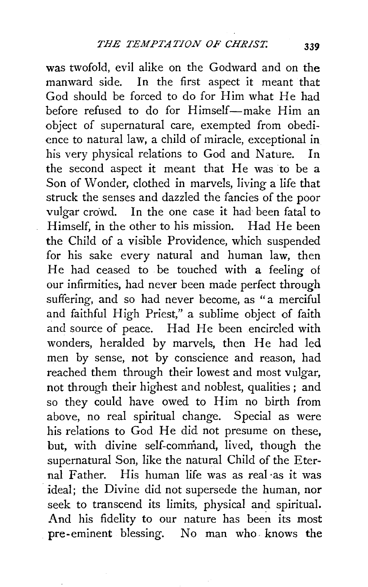was twofold, evil alike on the Godward and on the manward side. In the first aspect it meant that God should be forced to do for Him what He had before refused to do for Himself-make Him an object of supernatural care, exempted from obedience to natural law, a child of miracle, exceptional in his very physical relations to God and Nature. In the second aspect it meant that He was to be a Son of Wonder, clothed in marvels, living a life that struck the senses and dazzled the fancies of the poor vulgar crowd. In the one case it had been fatal to Himself, in the other to his mission. Had He been the Child of a visible Providence, which suspended for his sake every natural and human law, then He had ceased to be touched with a feeling of our infirmities, had never been made perfect through suffering, and so had never become, as "a merciful and faithful High Priest," a sublime object of faith and source of peace. Had He been encircled with wonders, heralded by marvels, then He had led men by sense, not by conscience and reason, had reached them through their lowest and most vulgar, not through their highest and noblest, qualities ; and so they could have owed to Him no birth from above, no real spiritual change. Special as were his relations to God He did not presume on these, but, with divine self-command, lived, though the supernatural Son, like the natural Child of the Eternal Father. His human life was as real·as it was ideal; the Divine did not supersede the human, nor seek to transcend its limits, physical and spiritual. And his fidelity to our nature has been its most pre-eminent blessing. No man who knows the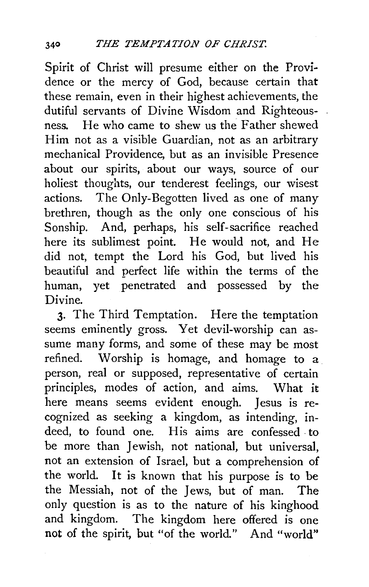Spirit of Christ will presume either on the Providence or the mercy of God, because certain that these remain, even in their highest achievements, the dutiful servants of Divine Wisdom and Righteousness. He who came to shew us the Father shewed Him not as a visible Guardian, not as an arbitrary mechanical Providence, but as an invisible Presence about our spirits, about our ways, source of our holiest thoughts, our tenderest feelings, our wisest actions. The Only-Begotten lived as one of many brethren, though as the only one conscious of his Sonship. And, perhaps, his self-sacrifice reached here its sublimest point. He would not, and He did not, tempt the Lord his God, but lived his beautiful and perfect life within the terms of the human, yet penetrated and possessed by the Divine.

3· The Third Temptation. Here the temptation seems eminently gross. Yet devil-worship can assume many forms, and some of these may be most refined. Worship is homage, and homage to a person, real or supposed, representative of certain principles, modes of action, and aims. What it here means seems evident enough. Jesus is recognized as seeking a kingdom, as intending, indeed, to found one. His aims are confessed. to be more than Jewish, not national, but universal, not an extension of Israel, but a comprehension of the world. It is known that his purpose is to be the Messiah, not of the Jews, but of man. The only question is as to the nature of his kinghood and kingdom. The kingdom here offered is one **not** of the spirit, but "of the world." And "world"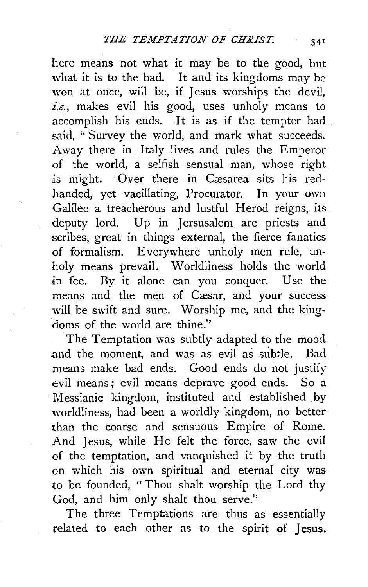here means not what it may be to the good, but what it is to the bad. It and its kingdoms may be won at once, will be, if Jesus worships the devil, *i.e.,* makes evil his good, uses unholy means to accomplish his ends. It is as if the tempter had . said, " Survey the world, and mark what succeeds. Away there in Italy lives and rules the Emperor of the world, a selfish sensual man, whose right is might. Over there in Cæsarea sits his red-.handed, yet vacillating, Procurator. In your own Galilee a treacherous and lustful Herod reigns, its deputy lord. Up in Jersusalem are priests and scribes, great in things external, the fierce fanatics of formalism. Everywhere unholy men rule, unholy means prevail. Worldliness holds the world in fee. By it alone can you conquer. Use the means and the men of Cæsar, and your success will be swift and sure. Worship me, and the kingdoms of the world are thine."

The Temptation was subtly adapted to the mood and the moment, and was as evil as subtle. Bad means make bad ends. Good ends do not justify evil means; evil means deprave good ends. So a Messianic kingdom, instituted and established by worldliness, had been a worldly kingdom, no better than the coarse and sensuous Empire of Rome. And Jesus, while He felt the force, saw the evil of the temptation, and vanquished it by the truth on which his own spiritual and eternal city was to be founded, "Thou shalt worship the Lord thy God, and him only shalt thou serve.''

The three Temptations are thus as essentially related to each other as to the spirit of Jesus.